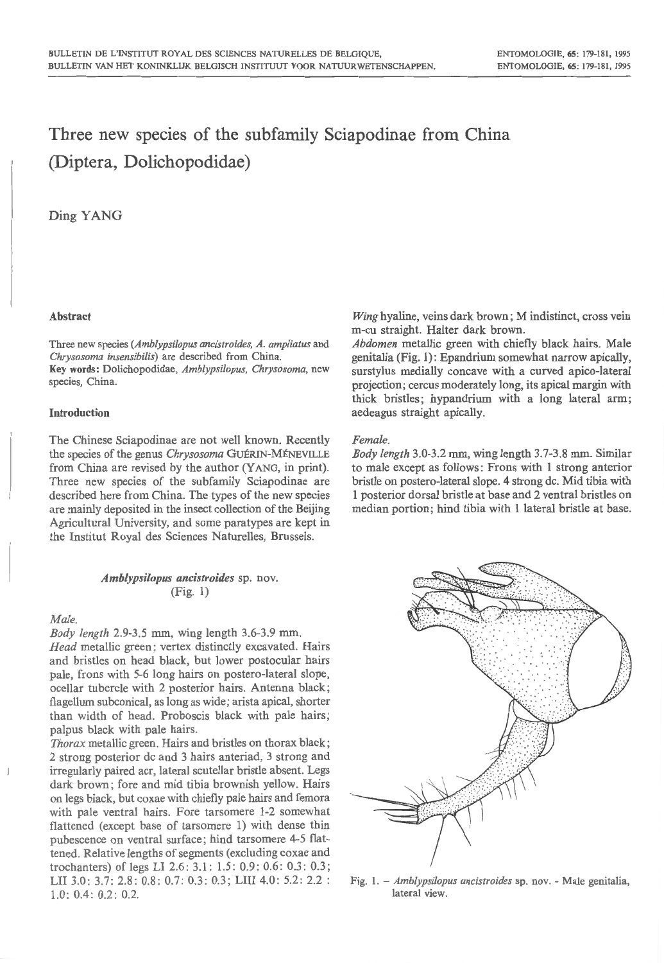# Three new species of the subfamily Sciapodinae from China (Diptera, Dolichopodidae)

# Ding YANG

## Abstract

Three new species *(Amblypsi/opus ancistroides, A. amp/iatus* and *Chrysosoma insensibi/is)* are described from China. Key words: Dolichopodidae, *Amb/ypsi/opus, Chrysosoma,* new species, China.

## Introduction

The Chinese Sciapodinae are not well known. Recently the species of the genus *Chrysosoma* GUÉRIN-MÉNEVILLE from China are revised by the author (YANG, in print). Three new species of the subfamily Sciapodinae are described here from China. The types of the new species are mainly deposited in the insect collection of the Beijing Agricultural University, and some paratypes are kept in the Institut Royal des Sciences Naturelles, Brussels.

## *Amblypsilopus ancistroides* sp. nov. (Fig. 1)

#### *Male.*

*Body length* 2.9-3.5 mm, wing length 3.6-3.9 mm. *Head* metallic green; vertex distinctly excavated. Hairs and bristles on head black, but lower postocular hairs pale, frons with 5-6 long hairs on postero-lateral slope, ocellar tubercle with 2 posterior hairs. Antenna black; flagellum subconical, as long as wide; arista apical, shorter than width of head. Proboscis black with pale hairs; palpus black with pale hairs.

*Thorax* metallic green. Hairs and bristles on thorax black ; 2 strong posterior de and 3 hairs anteriad, 3 strong and irregularly paired acr, lateral scutellar bristle absent. Legs dark brown; fore and mid tibia brownish yellow. Hairs on legs black, but coxae with chiefly pale hairs and femora with pale ventral hairs. Fore tarsomere 1-2 somewhat flattened (except base of tarsomere 1) with dense thin pubescence on ventral surface; hind tarsomere 4-5 flattened. Relative lengths of segments (excluding coxae and trochanters) of legs LI 2.6: 3.1: 1.5: 0.9: 0.6: 0.3: 0.3; LII 3.0: 3.7: 2.8: 0.8: 0.7: 0.3: 0.3; LIII 4.0: 5.2: 2.2 : 1.0: 0.4: 0.2: 0.2.

*Wing* hyaline, veins dark brown; M indistinct, cross vein m-cu straight. Halter dark brown.

*Abdomen* metallic green with chiefly black hairs. Male genitalia (Fig. 1): Epandrium somewhat narrow apically, surstylus medially concave with a curved apico-lateral projection; cercus moderately long, its apical margin with thick bristles; hypandrium with a long lateral arm; aedeagus straight apically.

## *Female.*

*Body length* 3.0-3.2 mm, wing length 3.7-3.8 mm. Similar to male except as follows: Frons with 1 strong anterior bristle on postero-lateral slope. 4 strong de. Mid tibia with 1 posterior dorsal bristle at base and 2 ventral bristles on median portion; hind tibia with 1 lateral bristle at base.



Fig. I. - *Amblypsi/opus ancistroides* sp. nov. - Male genitalia, lateral view.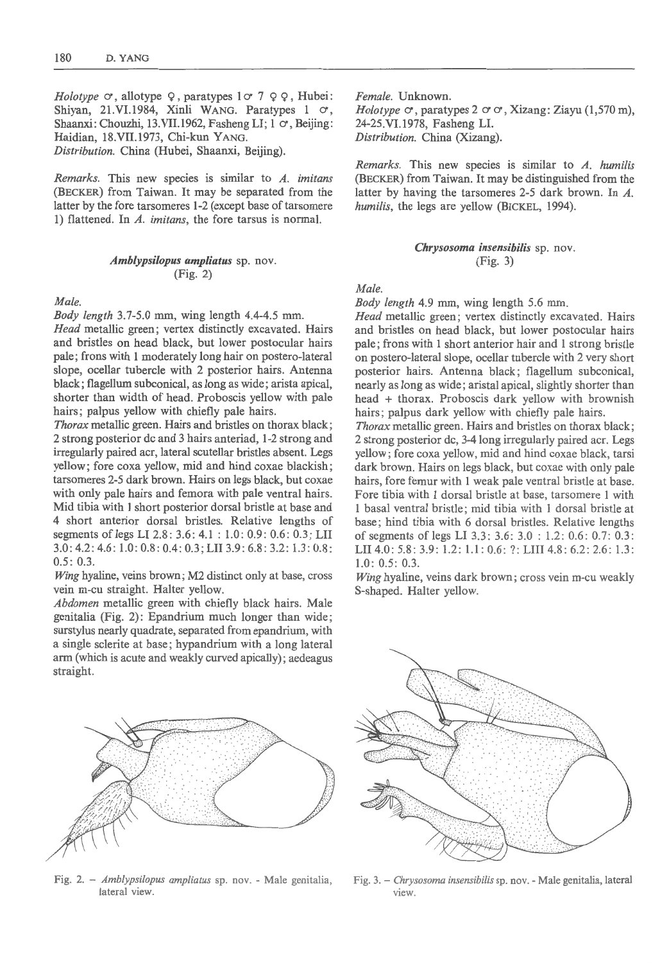*Holotype*  $\circ$ , allotype  $\circ$ , paratypes  $1 \circ 7 \circ \circ$ , Hubei: Shiyan, 21.VI.1984, Xinli WANG. Paratypes 1  $\sigma$ , Shaanxi: Chouzhi, 13.VII.1962, Fasheng LI; 1  $\sigma$ , Beijing: Haidian, 18.VII.1973, Chi-kun YANG. *Distribution.* China (Hubei, Shaanxi, Beijing).

*Remarks.* This new species is similar to *A. imitans*  (BECKER) from Taiwan. It may be separated from the latter by the fore tarsomeres 1-2 (except base of tarsomere 1) flattened. In *A. imitans,* the fore tarsus is normal.

# *Amblypsilopus ampliatus* sp. nov. (Fig. 2)

#### *Male.*

*Body length* 3. 7-5.0 mm, wing length 4.4-4.5 mm. *Head* metallic green; vertex distinctly excavated. Hairs and bristles on head black, but lower postocular hairs pale; frons with 1 moderately long hair on postero-lateral slope, ocellar tubercle with 2 posterior hairs. Antenna black; flagellum subconical, as long as wide; arista apical, shorter than width of head. Proboscis yellow with pale hairs; palpus yellow with chiefly pale hairs.

*Thorax* metallic green. Hairs and bristles on thorax black; 2 strong posterior de and 3 hairs anteriad, 1-2 strong and irregularly paired acr, lateral scutellar bristles absent. Legs yellow; fore coxa yellow, mid and hind coxae blackish; tarsomeres 2-5 dark brown. Hairs on legs black, but coxae with only pale hairs and femora with pale ventral hairs. Mid tibia with 1 short posterior dorsal bristle at base and 4 short anterior dorsal bristles. Relative lengths of segments of legs LI 2.8: 3.6: 4.1 : 1.0: 0.9: 0.6: 0.3; LII 3.0: 4.2: 4.6: 1.0: 0.8: 0.4: 0.3; LII 3.9: 6.8: 3.2 : 1.3 : 0.8: 0.5: 0.3.

*Wing* hyaline, veins brown; M2 distinct only at base, cross vein m-cu straight. Halter yellow.

*Abdomen* metallic green with chiefly black hairs. Male genitalia (Fig. 2): Epandrium much longer than wide; surstylus nearly quadrate, separated from epandrium, with a single sclerite at base; hypandrium with a long lateral arm (which is acute and weakly curved apically); aedeagus straight.

*Female.* Unknown. *Holotype*  $\circ$ , paratypes 2  $\circ$   $\circ$ , Xizang: Ziayu (1,570 m), 24-25.Vl.1978, Fasheng LI. *Distribution.* China (Xizang).

*Remarks.* This new species is similar to *A. humilis*  (BECKER) from Taiwan. It may be distinguished from the latter by having the tarsomeres 2-5 dark brown. In A. *humilis,* the legs are yellow (BICKEL, 1994).

> *Chrysosoma insensibi/is* sp. nov. (Fig. 3)

### *Male.*

*Body length* 4.9 mm, wing length 5.6 mm.

*Head* metallic green; vertex distinctly excavated. Hairs and bristles on head black, but lower postocular hairs pale; frons with 1 short anterior hair and 1 strong bristle on postero-lateral slope, ocellar tubercle with 2 very short posterior hairs. Antenna black; flagellum subconical, nearly as long as wide; aristal apical, slightly shorter than head + thorax. Proboscis dark yellow with brownish hairs; palpus dark yellow with chiefly pale hairs.

*Thorax* metallic green. Hairs and bristles on thorax black; 2 strong posterior de, 3-4 long irregularly paired acr. Legs yellow; fore coxa yellow, mid and hind coxae black, tarsi dark brown. Hairs on legs black, but coxae with only pale hairs, fore femur with 1 weak pale ventral bristle at base. Fore tibia with 1 dorsal bristle at base, tarsomere 1 with 1 basal ventral bristle ; mid tibia with 1 dorsal bristle at base; hind tibia with 6 dorsal bristles. Relative lengths of segments of legs LI 3.3: 3.6: 3.0 : 1.2: 0.6: 0.7: 0.3: LII 4.0: 5.8: 3.9: 1.2: 1.1: 0.6: ?: LIII 4.8: 6.2: 2.6: 1.3: 1.0: 0.5: 0.3.

*Wing* hyaline, veins dark brown ; cross vein m-cu weakly S-shaped. Halter yellow.



Fig. 2. - *Amblypsilopus ampliatus* sp. nov. - Male genitalia, lateral view.



Fig. 3. - *Chrysosoma insensibilis* sp. nov. - Male genitalia, lateral view.